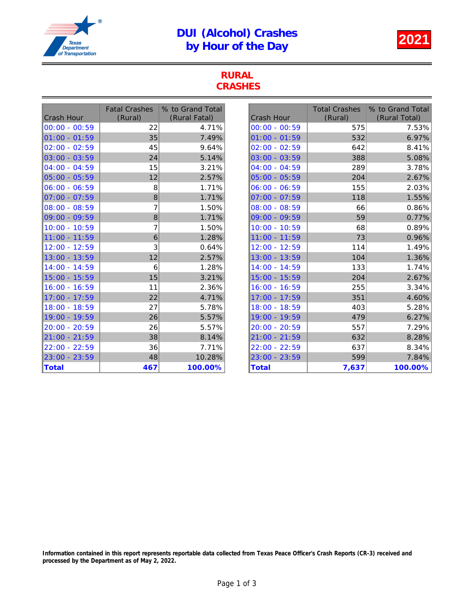## DUI (Alcohol) Crashes UI (Alcohol) Crashes<br>by Hour of the Day



#### RURAL **CRASHES**

| <b>Crash Hour</b> | <b>Fatal Crashes</b><br>(Rural) | % to Grand Total<br>(Rural Fatal) | <b>Crash Hour</b> | <b>Total Crashes</b><br>(Rural) | % to Grand Total<br>(Rural Total) |
|-------------------|---------------------------------|-----------------------------------|-------------------|---------------------------------|-----------------------------------|
| 00:00 - 00:59     | 22                              | 4.71%                             | $00:00 - 00:59$   | 575                             | 7.53%                             |
| 101:00 - 01:59    | 35                              | 7.49%                             | $01:00 - 01:59$   | 532                             | 6.97%                             |
| 02:00 - 02:59     | 45                              | 9.64%                             | $02:00 - 02:59$   | 642                             | 8.41%                             |
| 03:00 - 03:59     | 24                              | 5.14%                             | $03:00 - 03:59$   | 388                             | 5.08%                             |
| $ 04:00 - 04:59$  | 15                              | 3.21%                             | $04:00 - 04:59$   | 289                             | 3.78%                             |
| 05:00 - 05:59     | 12                              | 2.57%                             | $05:00 - 05:59$   | 204                             | 2.67%                             |
| $ 06:00 - 06:59$  | 8                               | 1.71%                             | $ 06:00 - 06:59$  | 155                             | 2.03%                             |
| 07:00 - 07:59     | 8                               | 1.71%                             | $07:00 - 07:59$   | 118                             | 1.55%                             |
| 08:00 - 08:59     | 7                               | 1.50%                             | $08:00 - 08:59$   | 66                              | 0.86%                             |
| 09:00 - 09:59     | 8                               | 1.71%                             | $09:00 - 09:59$   | 59                              | 0.77%                             |
| $10:00 - 10:59$   | 7                               | 1.50%                             | 10:00 - 10:59     | 68                              | 0.89%                             |
| 11:00 - 11:59     | 6                               | 1.28%                             | 11:00 - 11:59     | 73                              | 0.96%                             |
| 12:00 - 12:59     | 3                               | 0.64%                             | 12:00 - 12:59     | 114                             | 1.49%                             |
| 13:00 - 13:59     | 12                              | 2.57%                             | 13:00 - 13:59     | 104                             | 1.36%                             |
| 14:00 - 14:59     | 6                               | 1.28%                             | 14:00 - 14:59     | 133                             | 1.74%                             |
| 15:00 - 15:59     | 15                              | 3.21%                             | 15:00 - 15:59     | 204                             | 2.67%                             |
| 16:00 - 16:59     | 11                              | 2.36%                             | 16:00 - 16:59     | 255                             | 3.34%                             |
| 17:00 - 17:59     | 22                              | 4.71%                             | 17:00 - 17:59     | 351                             | 4.60%                             |
| 18:00 - 18:59     | 27                              | 5.78%                             | 18:00 - 18:59     | 403                             | 5.28%                             |
| 19:00 - 19:59     | 26                              | 5.57%                             | 19:00 - 19:59     | 479                             | 6.27%                             |
| 20:00 - 20:59     | 26                              | 5.57%                             | 20:00 - 20:59     | 557                             | 7.29%                             |
| 21:00 - 21:59     | 38                              | 8.14%                             | 21:00 - 21:59     | 632                             | 8.28%                             |
| $22:00 - 22:59$   | 36                              | 7.71%                             | 22:00 - 22:59     | 637                             | 8.34%                             |
| 23:00 - 23:59     | 48                              | 10.28%                            | 23:00 - 23:59     | 599                             | 7.84%                             |
| Total             | 467                             | 100.00%                           | <b>Total</b>      | 7,637                           | 100.00%                           |

Information contained in this report represents reportable data collected from Texas Peace Officer's Crash Reports (CR-3) received and processed by the Department as of May 2, 2022.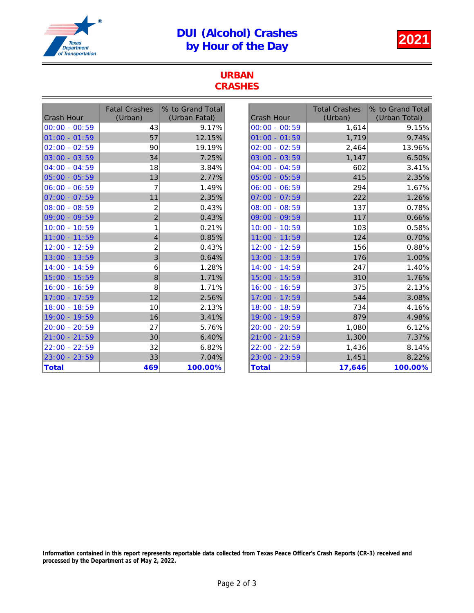## DUI (Alcohol) Crashes UI (Alcohol) Crashes<br>by Hour of the Day



#### URBAN **CRASHES**

| <b>Crash Hour</b> | <b>Fatal Crashes</b><br>(Urban) | % to Grand Total<br>(Urban Fatal) | <b>Crash Hour</b> | <b>Total Crashes</b><br>(Urban) | % to Grand Total<br>(Urban Total) |
|-------------------|---------------------------------|-----------------------------------|-------------------|---------------------------------|-----------------------------------|
| $00:00 - 00:59$   | 43                              | 9.17%                             | $00:00 - 00:59$   | 1,614                           | 9.15%                             |
| $ 01:00 - 01:59 $ | 57                              | 12.15%                            | $01:00 - 01:59$   | 1,719                           | 9.74%                             |
| $02:00 - 02:59$   | 90                              | 19.19%                            | $02:00 - 02:59$   | 2,464                           | 13.96%                            |
| $03:00 - 03:59$   | 34                              | 7.25%                             | 03:00 - 03:59     | 1,147                           | 6.50%                             |
| $ 04:00 - 04:59$  | 18                              | 3.84%                             | $04:00 - 04:59$   | 602                             | 3.41%                             |
| $05:00 - 05:59$   | 13                              | 2.77%                             | $05:00 - 05:59$   | 415                             | 2.35%                             |
| $06:00 - 06:59$   |                                 | 1.49%                             | $06:00 - 06:59$   | 294                             | 1.67%                             |
| $ 07:00 - 07:59$  | 11                              | 2.35%                             | $07:00 - 07:59$   | 222                             | 1.26%                             |
| $08:00 - 08:59$   | 2                               | 0.43%                             | $08:00 - 08:59$   | 137                             | 0.78%                             |
| 09:00 - 09:59     | $\overline{c}$                  | 0.43%                             | $09:00 - 09:59$   | 117                             | 0.66%                             |
| 10:00 - 10:59     | 1                               | 0.21%                             | 10:00 - 10:59     | 103                             | 0.58%                             |
| 11:00 - 11:59     | 4                               | 0.85%                             | 11:00 - 11:59     | 124                             | 0.70%                             |
| 12:00 - 12:59     | $\overline{c}$                  | 0.43%                             | 12:00 - 12:59     | 156                             | 0.88%                             |
| 13:00 - 13:59     | 3                               | 0.64%                             | 13:00 - 13:59     | 176                             | 1.00%                             |
| 14:00 - 14:59     | 6                               | 1.28%                             | 14:00 - 14:59     | 247                             | 1.40%                             |
| 15:00 - 15:59     | 8                               | 1.71%                             | 15:00 - 15:59     | 310                             | 1.76%                             |
| 16:00 - 16:59     | 8                               | 1.71%                             | 16:00 - 16:59     | 375                             | 2.13%                             |
| 17:00 - 17:59     | 12                              | 2.56%                             | 17:00 - 17:59     | 544                             | 3.08%                             |
| 18:00 - 18:59     | 10                              | 2.13%                             | 18:00 - 18:59     | 734                             | 4.16%                             |
| 19:00 - 19:59     | 16                              | 3.41%                             | 19:00 - 19:59     | 879                             | 4.98%                             |
| 20:00 - 20:59     | 27                              | 5.76%                             | 20:00 - 20:59     | 1,080                           | 6.12%                             |
| 21:00 - 21:59     | 30                              | 6.40%                             | 21:00 - 21:59     | 1,300                           | 7.37%                             |
| $22:00 - 22:59$   | 32                              | 6.82%                             | 22:00 - 22:59     | 1,436                           | 8.14%                             |
| $23:00 - 23:59$   | 33                              | 7.04%                             | 23:00 - 23:59     | 1,451                           | 8.22%                             |
| <b>Total</b>      | 469                             | 100.00%                           | Total             | 17,646                          | 100.00%                           |

Information contained in this report represents reportable data collected from Texas Peace Officer's Crash Reports (CR-3) received and processed by the Department as of May 2, 2022.